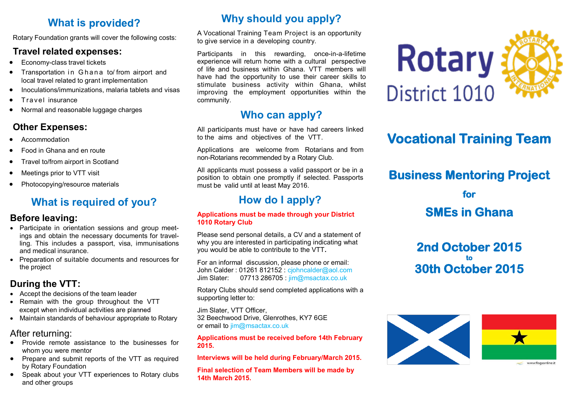## **What is provided?**

Rotary Foundation grants will cover the following costs:

### **Travel related expenses:**

- Economy-class travel tickets
- Transportation in Ghana to/ from airport and local travel related to grant implementation
- Inoculations/immunizations, malaria tablets and visas
- T ra v el insurance
- Normal and reasonable luggage charges

## **Other Expenses:**

- Accommodation
- Food in Ghana and en route
- Travel to/from airport in Scotland
- Meetings prior to VTT visit
- Photocopying/resource materials

## **What is required of you?**

### **Before leaving:**

- Participate in orientation sessions and group meetings and obtain the necessary documents for travelling. This includes a passport, visa, immunisations and medical insurance.
- Preparation of suitable documents and resources for the project

## **During the VTT:**

- Accept the decisions of the team leader
- Remain with the group throughout the VTT except when individual activities are planned
- Maintain standards of behaviour appropriate to Rotary

## After returning:

- Provide remote assistance to the businesses for whom you were mentor
- Prepare and submit reports of the VTT as required by Rotary Foundation
- Speak about your VTT experiences to Rotary clubs and other groups

# **Why should you apply?**

A Vocational Training Team Project is an opportunity to give service in a developing country.

Participants in this rewarding, once-in-a-lifetime experience will return home with a cultural perspective of life and business within Ghana. VTT members will have had the opportunity to use their career skills to stimulate business activity within Ghana, whilst improving the employment opportunities within the community.

# **Who can**

All participants must have or have had careers linked to the aims and objectives of the VTT.

Applications are welcome from Rotarians and from non-Rotarians recommended by a Rotary Club.

All applicants must possess a valid passport or be in a position to obtain one promptly if selected. Passports must be valid until at least May 2016.

# **How do I apply?**

#### **Applications must be made through your District 1010 Rotary Club**

Please send personal details, a CV and a statement of why you are interested in participating indicating what you would be able to contribute to the VTT**.**

For an informal discussion, please phone or email: John Calder : 01261 812152 : cjohncalder@aol.com Jim Slater: 07713 286705 : jim@msactax.co.uk

Rotary Clubs should send completed applications with a supporting letter to:

Jim Slater, VTT Officer, 32 Beechwood Drive, Glenrothes, KY7 6GE or email to jim@msactax.co.uk

**Applications must be received before 14th February 2015.**

**Interviews will be held during February/March 2015.**

**Final selection of Team Members will be made by 14th March 2015.**





# **Vocational Training Team**

# **Business Mentoring Project**

**for SMEs in Ghana** 

**2nd October 2015 to 30th October 2015**